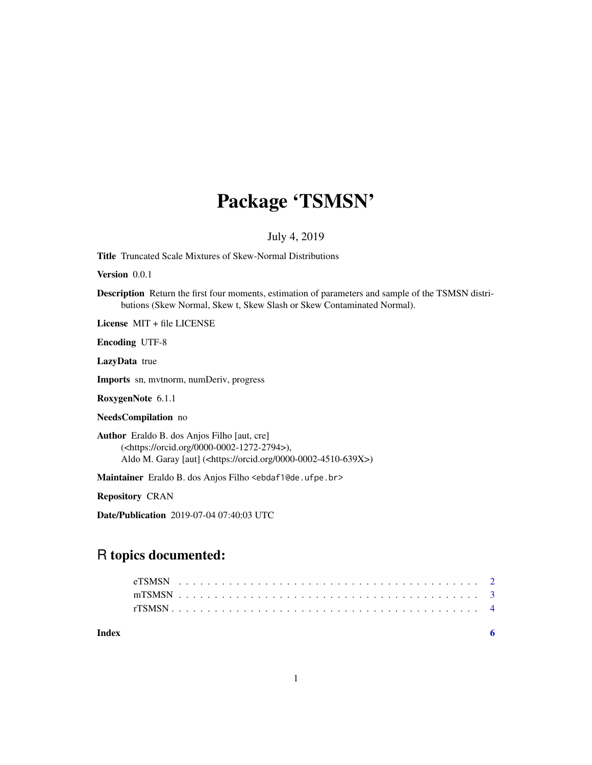## Package 'TSMSN'

July 4, 2019

Title Truncated Scale Mixtures of Skew-Normal Distributions

Version 0.0.1

Description Return the first four moments, estimation of parameters and sample of the TSMSN distributions (Skew Normal, Skew t, Skew Slash or Skew Contaminated Normal).

License MIT + file LICENSE

Encoding UTF-8

LazyData true

Imports sn, mvtnorm, numDeriv, progress

RoxygenNote 6.1.1

NeedsCompilation no

Author Eraldo B. dos Anjos Filho [aut, cre] (<https://orcid.org/0000-0002-1272-2794>), Aldo M. Garay [aut] (<https://orcid.org/0000-0002-4510-639X>)

Maintainer Eraldo B. dos Anjos Filho <ebdaf1@de.ufpe.br>

Repository CRAN

Date/Publication 2019-07-04 07:40:03 UTC

### R topics documented:

**Index** [6](#page-5-0) **6**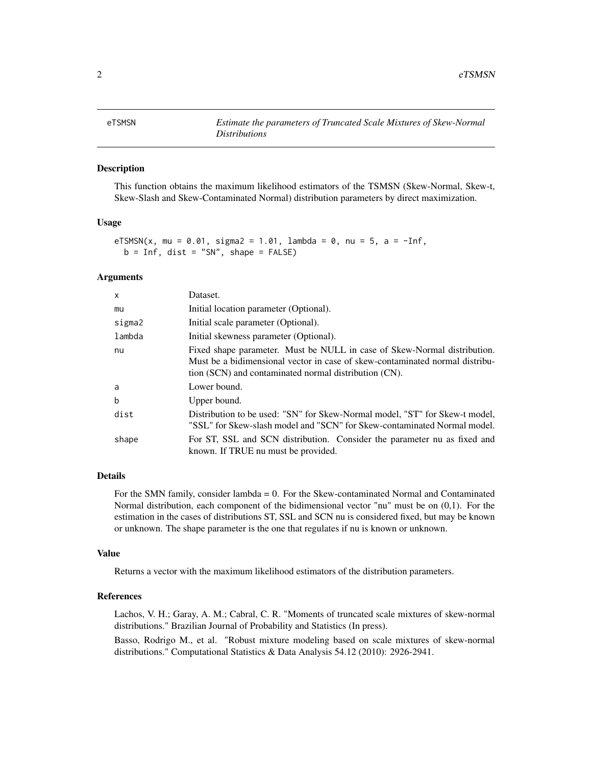#### <span id="page-1-0"></span>Description

This function obtains the maximum likelihood estimators of the TSMSN (Skew-Normal, Skew-t, Skew-Slash and Skew-Contaminated Normal) distribution parameters by direct maximization.

#### Usage

```
eTSMSN(x, mu = 0.01, sigma2 = 1.01, lambda = 0, nu = 5, a = -Inf,
b = Inf, dist = "SN", shape = FALSE)
```
#### Arguments

| $\mathsf{x}$ | Dataset.                                                                                                                                                                                                          |
|--------------|-------------------------------------------------------------------------------------------------------------------------------------------------------------------------------------------------------------------|
| mu           | Initial location parameter (Optional).                                                                                                                                                                            |
| sigma2       | Initial scale parameter (Optional).                                                                                                                                                                               |
| lambda       | Initial skewness parameter (Optional).                                                                                                                                                                            |
| nu           | Fixed shape parameter. Must be NULL in case of Skew-Normal distribution.<br>Must be a bidimensional vector in case of skew-contaminated normal distribu-<br>tion (SCN) and contaminated normal distribution (CN). |
| a            | Lower bound.                                                                                                                                                                                                      |
| $\mathbf b$  | Upper bound.                                                                                                                                                                                                      |
| dist         | Distribution to be used: "SN" for Skew-Normal model, "ST" for Skew-t model,<br>"SSL" for Skew-slash model and "SCN" for Skew-contaminated Normal model.                                                           |
| shape        | For ST, SSL and SCN distribution. Consider the parameter nu as fixed and<br>known. If TRUE nu must be provided.                                                                                                   |

#### Details

For the SMN family, consider lambda = 0. For the Skew-contaminated Normal and Contaminated Normal distribution, each component of the bidimensional vector "nu" must be on (0,1). For the estimation in the cases of distributions ST, SSL and SCN nu is considered fixed, but may be known or unknown. The shape parameter is the one that regulates if nu is known or unknown.

#### Value

Returns a vector with the maximum likelihood estimators of the distribution parameters.

#### References

Lachos, V. H.; Garay, A. M.; Cabral, C. R. "Moments of truncated scale mixtures of skew-normal distributions." Brazilian Journal of Probability and Statistics (In press).

Basso, Rodrigo M., et al. "Robust mixture modeling based on scale mixtures of skew-normal distributions." Computational Statistics & Data Analysis 54.12 (2010): 2926-2941.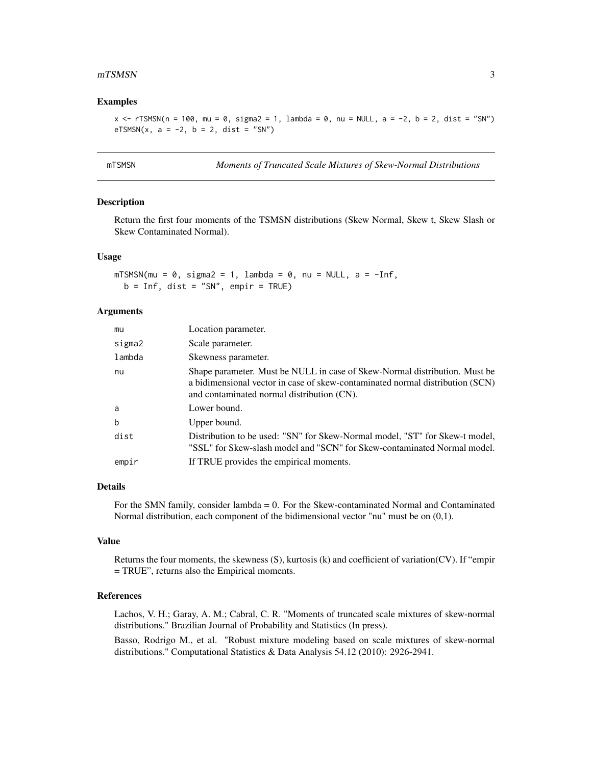#### <span id="page-2-0"></span> $mTSMSN$  3

#### Examples

 $x \le r$ TSMSN(n = 100, mu = 0, sigma2 = 1, lambda = 0, nu = NULL, a = -2, b = 2, dist = "SN") eTSMSN(x,  $a = -2$ ,  $b = 2$ , dist = "SN")

| m I : | 11 ·· | S٨<br>MS. |
|-------|-------|-----------|
|       |       |           |

**Moments of Truncated Scale Mixtures of Skew-Normal Distributions** 

#### Description

Return the first four moments of the TSMSN distributions (Skew Normal, Skew t, Skew Slash or Skew Contaminated Normal).

#### Usage

```
mTSMSN(mu = 0, sigma2 = 1, lambda = 0, nu = NULL, a = -Inf,b = Inf, dist = "SN", empir = TRUE)
```
#### Arguments

| mu     | Location parameter.                                                                                                                                                                                       |
|--------|-----------------------------------------------------------------------------------------------------------------------------------------------------------------------------------------------------------|
| sigma2 | Scale parameter.                                                                                                                                                                                          |
| lambda | Skewness parameter.                                                                                                                                                                                       |
| nu     | Shape parameter. Must be NULL in case of Skew-Normal distribution. Must be<br>a bidimensional vector in case of skew-contaminated normal distribution (SCN)<br>and contaminated normal distribution (CN). |
| a      | Lower bound.                                                                                                                                                                                              |
| b      | Upper bound.                                                                                                                                                                                              |
| dist   | Distribution to be used: "SN" for Skew-Normal model, "ST" for Skew-t model,<br>"SSL" for Skew-slash model and "SCN" for Skew-contaminated Normal model.                                                   |
| empir  | If TRUE provides the empirical moments.                                                                                                                                                                   |

#### Details

For the SMN family, consider lambda = 0. For the Skew-contaminated Normal and Contaminated Normal distribution, each component of the bidimensional vector "nu" must be on (0,1).

#### Value

Returns the four moments, the skewness (S), kurtosis (k) and coefficient of variation(CV). If "empir = TRUE", returns also the Empirical moments.

#### References

Lachos, V. H.; Garay, A. M.; Cabral, C. R. "Moments of truncated scale mixtures of skew-normal distributions." Brazilian Journal of Probability and Statistics (In press).

Basso, Rodrigo M., et al. "Robust mixture modeling based on scale mixtures of skew-normal distributions." Computational Statistics & Data Analysis 54.12 (2010): 2926-2941.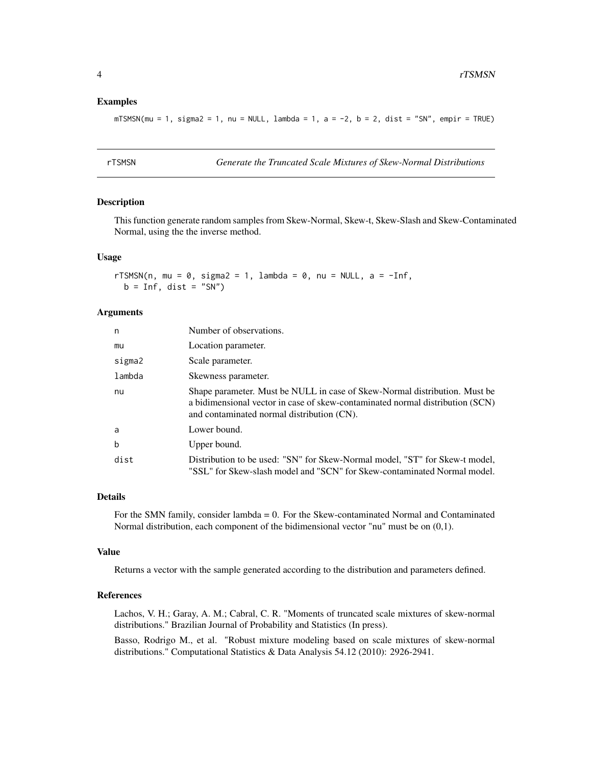#### <span id="page-3-0"></span>Examples

 $mTSMSN(mu = 1, sigma2 = 1, nu = NULL, lambda = 1, a = -2, b = 2, dist = "SN", empir = TRUE)$ 

rTSMSN *Generate the Truncated Scale Mixtures of Skew-Normal Distributions*

#### Description

This function generate random samples from Skew-Normal, Skew-t, Skew-Slash and Skew-Contaminated Normal, using the the inverse method.

#### Usage

rTSMSN(n, mu = 0, sigma2 = 1, lambda = 0, nu = NULL, a =  $-Inf$ ,  $b = Inf, dist = "SN")$ 

#### Arguments

| n      | Number of observations.                                                                                                                                                                                   |
|--------|-----------------------------------------------------------------------------------------------------------------------------------------------------------------------------------------------------------|
| mu     | Location parameter.                                                                                                                                                                                       |
| sigma2 | Scale parameter.                                                                                                                                                                                          |
| lambda | Skewness parameter.                                                                                                                                                                                       |
| nu     | Shape parameter. Must be NULL in case of Skew-Normal distribution. Must be<br>a bidimensional vector in case of skew-contaminated normal distribution (SCN)<br>and contaminated normal distribution (CN). |
| a      | Lower bound.                                                                                                                                                                                              |
| b      | Upper bound.                                                                                                                                                                                              |
| dist   | Distribution to be used: "SN" for Skew-Normal model, "ST" for Skew-t model,<br>"SSL" for Skew-slash model and "SCN" for Skew-contaminated Normal model.                                                   |

#### Details

For the SMN family, consider lambda = 0. For the Skew-contaminated Normal and Contaminated Normal distribution, each component of the bidimensional vector "nu" must be on (0,1).

#### Value

Returns a vector with the sample generated according to the distribution and parameters defined.

#### References

Lachos, V. H.; Garay, A. M.; Cabral, C. R. "Moments of truncated scale mixtures of skew-normal distributions." Brazilian Journal of Probability and Statistics (In press).

Basso, Rodrigo M., et al. "Robust mixture modeling based on scale mixtures of skew-normal distributions." Computational Statistics & Data Analysis 54.12 (2010): 2926-2941.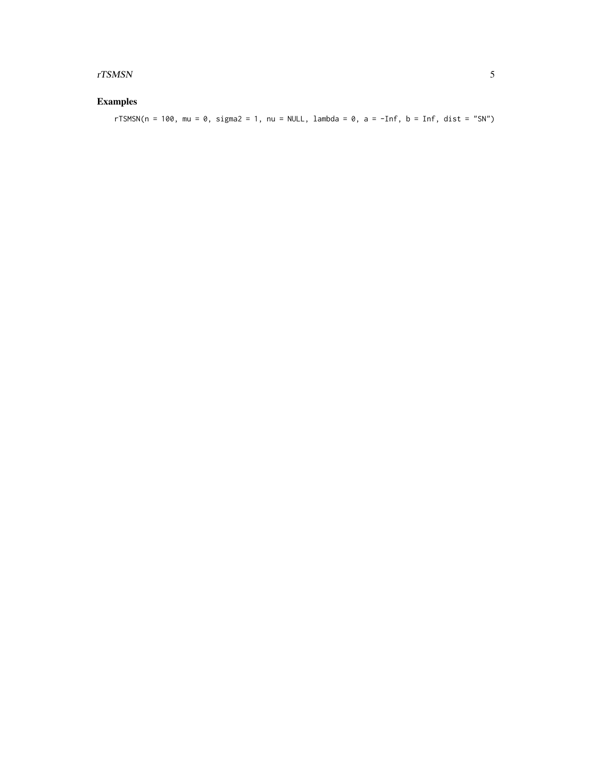#### $rTSMSN$

#### **Examples**

rTSMSN(n = 100, mu = 0, sigma2 = 1, nu = NULL, lambda = 0, a = -Inf, b = Inf, dist = "SN")